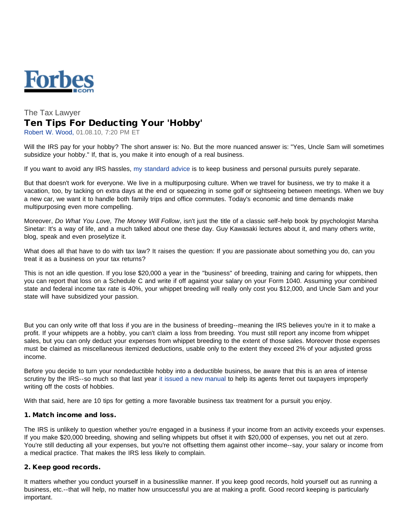

# The Tax Lawyer Ten Tips For Deducting Your 'Hobby'

Robert W. Wood, 01.08.10, 7:20 PM ET

Will the IRS pay for your hobby? The short answer is: No. But the more nuanced answer is: "Yes, Uncle Sam will sometimes subsidize your hobby." If, that is, you make it into enough of a real business.

If you want to avoid any IRS hassles, [my standard advice](http://www.forbes.com/2009/10/23/three-tax-mistakes-irs-audits-personal-finance-wood.html) is to keep business and personal pursuits purely separate.

But that doesn't work for everyone. We live in a multipurposing culture. When we travel for business, we try to make it a vacation, too, by tacking on extra days at the end or squeezing in some golf or sightseeing between meetings. When we buy a new car, we want it to handle both family trips and office commutes. Today's economic and time demands make multipurposing even more compelling.

Moreover, *Do What You Love, The Money Will Follow*, isn't just the title of a classic self-help book by psychologist Marsha Sinetar: It's a way of life, and a much talked about one these day. Guy Kawasaki lectures about it, and many others write, blog, speak and even proselytize it.

What does all that have to do with tax law? It raises the question: If you are passionate about something you do, can you treat it as a business on your tax returns?

This is not an idle question. If you lose \$20,000 a year in the "business" of breeding, training and caring for whippets, then you can report that loss on a Schedule C and write if off against your salary on your Form 1040. Assuming your combined state and federal income tax rate is 40%, your whippet breeding will really only cost you \$12,000, and Uncle Sam and your state will have subsidized your passion.

But you can only write off that loss if you are in the business of breeding--meaning the IRS believes you're in it to make a profit. If your whippets are a hobby, you can't claim a loss from breeding. You must still report any income from whippet sales, but you can only deduct your expenses from whippet breeding to the extent of those sales. Moreover those expenses must be claimed as miscellaneous itemized deductions, usable only to the extent they exceed 2% of your adjusted gross income.

Before you decide to turn your nondeductible hobby into a deductible business, be aware that this is an area of intense scrutiny by the IRS--so much so that last year [it issued a new manual](http://www.forbes.com/2009/07/10/irs-taxes-hobbies-personal-finance-hobby.html) to help its agents ferret out taxpayers improperly writing off the costs of hobbies.

With that said, here are 10 tips for getting a more favorable business tax treatment for a pursuit you enjoy.

## 1. Match income and loss.

The IRS is unlikely to question whether you're engaged in a business if your income from an activity exceeds your expenses. If you make \$20,000 breeding, showing and selling whippets but offset it with \$20,000 of expenses, you net out at zero. You're still deducting all your expenses, but you're not offsetting them against other income--say, your salary or income from a medical practice. That makes the IRS less likely to complain.

# 2. Keep good records.

It matters whether you conduct yourself in a businesslike manner. If you keep good records, hold yourself out as running a business, etc.--that will help, no matter how unsuccessful you are at making a profit. Good record keeping is particularly important.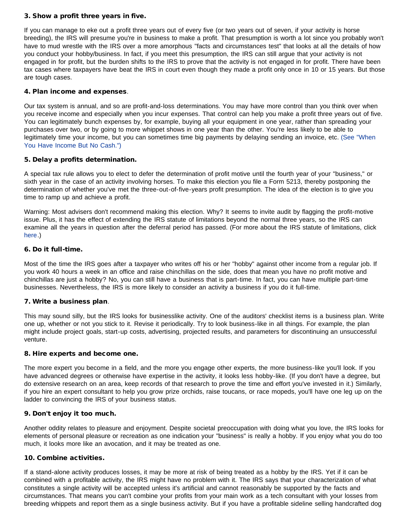## 3. Show a profit three years in five.

If you can manage to eke out a profit three years out of every five (or two years out of seven, if your activity is horse breeding), the IRS will presume you're in business to make a profit. That presumption is worth a lot since you probably won't have to mud wrestle with the IRS over a more amorphous "facts and circumstances test" that looks at all the details of how you conduct your hobby/business. In fact, if you meet this presumption, the IRS can still argue that your activity is not engaged in for profit, but the burden shifts to the IRS to prove that the activity is not engaged in for profit. There have been tax cases where taxpayers have beat the IRS in court even though they made a profit only once in 10 or 15 years. But those are tough cases.

## 4. Plan income and expenses.

Our tax system is annual, and so are profit-and-loss determinations. You may have more control than you think over when you receive income and especially when you incur expenses. That control can help you make a profit three years out of five. You can legitimately bunch expenses by, for example, buying all your equipment in one year, rather than spreading your purchases over two, or by going to more whippet shows in one year than the other. You're less likely to be able to legitimately time your income, but you can sometimes time big payments by delaying sending an invoice, etc. [\(See "When](http://www.forbes.com/2009/10/12/tax-cancelled-debt-deferred-income-personal-finance-wood.html) [You Have Income But No Cash."\)](http://www.forbes.com/2009/10/12/tax-cancelled-debt-deferred-income-personal-finance-wood.html)

#### 5. Delay a profits determination.

A special tax rule allows you to elect to defer the determination of profit motive until the fourth year of your "business," or sixth year in the case of an activity involving horses. To make this election you file a Form 5213, thereby postponing the determination of whether you've met the three-out-of-five-years profit presumption. The idea of the election is to give you time to ramp up and achieve a profit.

Warning: Most advisers don't recommend making this election. Why? It seems to invite audit by flagging the profit-motive issue. Plus, it has the effect of extending the IRS statute of limitations beyond the normal three years, so the IRS can examine all the years in question after the deferral period has passed. (For more about the IRS statute of limitations, click [here.](http://www.forbes.com/2009/10/08/IRS-tax-audits-statute-limitations-personal-finance-wood.html))

#### 6. Do it full-time.

Most of the time the IRS goes after a taxpayer who writes off his or her "hobby" against other income from a regular job. If you work 40 hours a week in an office and raise chinchillas on the side, does that mean you have no profit motive and chinchillas are just a hobby? No, you can still have a business that is part-time. In fact, you can have multiple part-time businesses. Nevertheless, the IRS is more likely to consider an activity a business if you do it full-time.

#### 7. Write a business plan.

This may sound silly, but the IRS looks for businesslike activity. One of the auditors' checklist items is a business plan. Write one up, whether or not you stick to it. Revise it periodically. Try to look business-like in all things. For example, the plan might include project goals, start-up costs, advertising, projected results, and parameters for discontinuing an unsuccessful venture.

#### 8. Hire experts and become one.

The more expert you become in a field, and the more you engage other experts, the more business-like you'll look. If you have advanced degrees or otherwise have expertise in the activity, it looks less hobby-like. (If you don't have a degree, but do extensive research on an area, keep records of that research to prove the time and effort you've invested in it.) Similarly, if you hire an expert consultant to help you grow prize orchids, raise toucans, or race mopeds, you'll have one leg up on the ladder to convincing the IRS of your business status.

# 9. Don't enjoy it too much.

Another oddity relates to pleasure and enjoyment. Despite societal preoccupation with doing what you love, the IRS looks for elements of personal pleasure or recreation as one indication your "business" is really a hobby. If you enjoy what you do too much, it looks more like an avocation, and it may be treated as one.

## 10. Combine activities.

If a stand-alone activity produces losses, it may be more at risk of being treated as a hobby by the IRS. Yet if it can be combined with a profitable activity, the IRS might have no problem with it. The IRS says that your characterization of what constitutes a single activity will be accepted unless it's artificial and cannot reasonably be supported by the facts and circumstances. That means you can't combine your profits from your main work as a tech consultant with your losses from breeding whippets and report them as a single business activity. But if you have a profitable sideline selling handcrafted dog